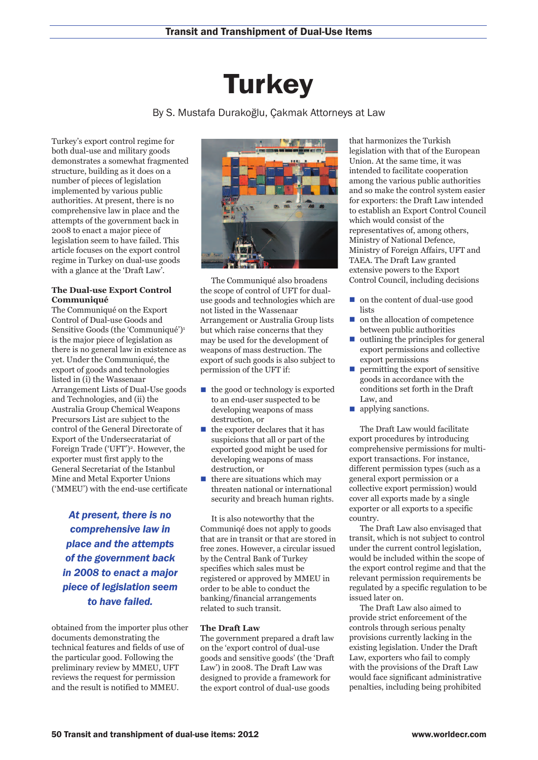# **Turkey**

## By S. Mustafa Durakoğlu, Çakmak Attorneys at Law

Turkey's export control regime for both dual-use and military goods demonstrates a somewhat fragmented structure, building as it does on a number of pieces of legislation implemented by various public authorities. At present, there is no comprehensive law in place and the attempts of the government back in 2008 to enact a major piece of legislation seem to have failed. This article focuses on the export control regime in Turkey on dual-use goods with a glance at the 'Draft Law'.

#### **The Dual-use Export Control Communiqué**

The Communiqué on the Export Control of Dual-use Goods and Sensitive Goods (the 'Communiqué')1 is the major piece of legislation as there is no general law in existence as yet. Under the Communiqué, the export of goods and technologies listed in (i) the Wassenaar Arrangement Lists of Dual-Use goods and Technologies, and (ii) the Australia Group Chemical Weapons Precursors List are subject to the control of the General Directorate of Export of the Undersecratariat of Foreign Trade ('UFT')<sup>2</sup>. However, the exporter must first apply to the General Secretariat of the Istanbul Mine and Metal Exporter Unions ('MMEU') with the end-use certificate

*At present, there is no comprehensive law in place and the attempts of the government back in 2008 to enact a major piece of legislation seem to have failed.*

obtained from the importer plus other documents demonstrating the technical features and fields of use of the particular good. Following the preliminary review by MMEU, UFT reviews the request for permission and the result is notified to MMEU.



The Communiqué also broadens the scope of control of UFT for dualuse goods and technologies which are not listed in the Wassenaar Arrangement or Australia Group lists but which raise concerns that they may be used for the development of weapons of mass destruction. The export of such goods is also subject to permission of the UFT if:

- $\blacksquare$  the good or technology is exported to an end-user suspected to be developing weapons of mass destruction, or
- $\blacksquare$  the exporter declares that it has suspicions that all or part of the exported good might be used for developing weapons of mass destruction, or
- $\blacksquare$  there are situations which may threaten national or international security and breach human rights.

It is also noteworthy that the Communiqé does not apply to goods that are in transit or that are stored in free zones. However, a circular issued by the Central Bank of Turkey specifies which sales must be registered or approved by MMEU in order to be able to conduct the banking/financial arrangements related to such transit.

### **The Draft Law**

The government prepared a draft law on the 'export control of dual-use goods and sensitive goods' (the 'Draft Law') in 2008. The Draft Law was designed to provide a framework for the export control of dual-use goods

that harmonizes the Turkish legislation with that of the European Union. At the same time, it was intended to facilitate cooperation among the various public authorities and so make the control system easier for exporters: the Draft Law intended to establish an Export Control Council which would consist of the representatives of, among others, Ministry of National Defence, Ministry of Foreign Affairs, UFT and TAEA. The Draft Law granted extensive powers to the Export Control Council, including decisions

- $\Box$  on the content of dual-use good lists
- n on the allocation of competence between public authorities
- n outlining the principles for general export permissions and collective export permissions
- $\blacksquare$  permitting the export of sensitive goods in accordance with the conditions set forth in the Draft Law, and
- $\blacksquare$  applying sanctions.

The Draft Law would facilitate export procedures by introducing comprehensive permissions for multiexport transactions. For instance, different permission types (such as a general export permission or a collective export permission) would cover all exports made by a single exporter or all exports to a specific country.

The Draft Law also envisaged that transit, which is not subject to control under the current control legislation, would be included within the scope of the export control regime and that the relevant permission requirements be regulated by a specific regulation to be issued later on.

The Draft Law also aimed to provide strict enforcement of the controls through serious penalty provisions currently lacking in the existing legislation. Under the Draft Law, exporters who fail to comply with the provisions of the Draft Law would face significant administrative penalties, including being prohibited